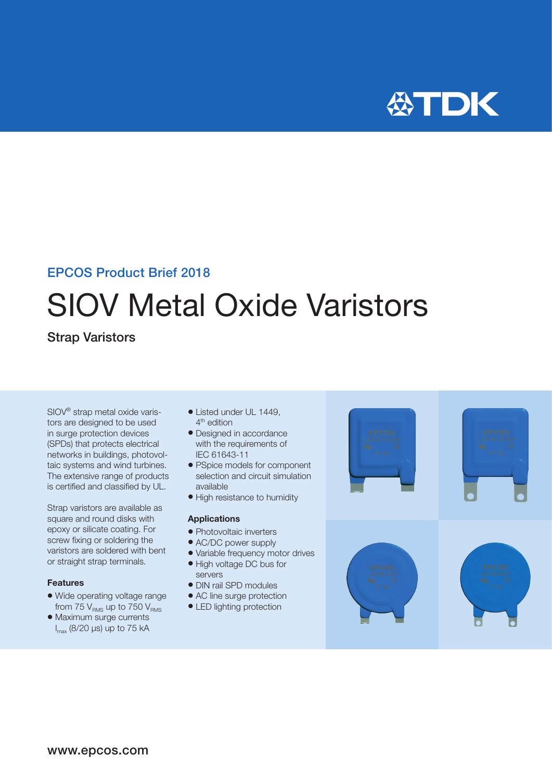

### EPCOS Product Brief 2018

# SIOV Metal Oxide Varistors

### Strap Varistors

SIOV® strap metal oxide varistors are designed to be used in surge protection devices (SPDs) that protects electrical networks in buildings, photovoltaic systems and wind turbines. The extensive range of products is certified and classified by UL.

Strap varistors are available as square and round disks with epoxy or silicate coating. For screw fixing or soldering the varistors are soldered with bent or straight strap terminals.

### Features

- Wide operating voltage range from 75  $V_{RMS}$  up to 750  $V_{RMS}$
- Maximum surge currents I max (8/20 µs) up to 75 kA
- Listed under UL 1449. 4<sup>th</sup> edition
- Designed in accordance with the requirements of IEC 61643-11
- PSpice models for component selection and circuit simulation available
- High resistance to humidity

### Applications

- Photovoltaic inverters
- AC/DC power supply
- Variable frequency motor drives
- High voltage DC bus for
- servers · DIN rail SPD modules
- AC line surge protection
- LED lighting protection

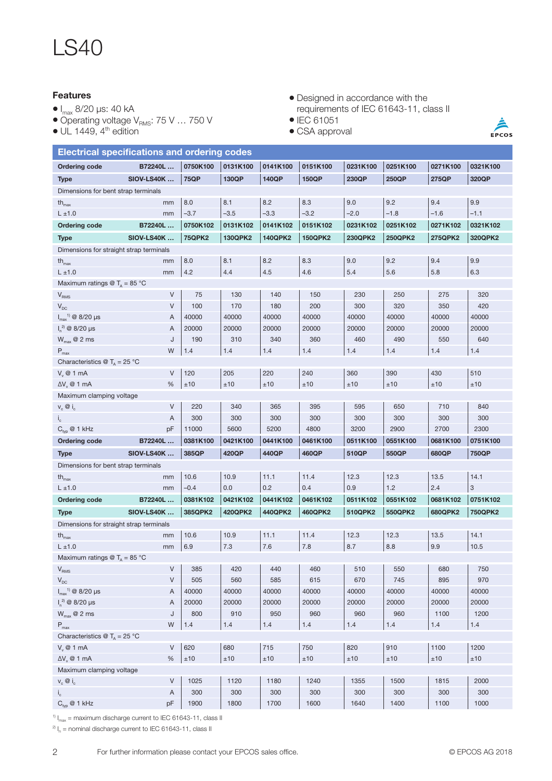## LS40

### Features

- $\bullet$  I<sub>max</sub> 8/20 µs: 40 kA
- $\bullet$  Operating voltage V $_{\rm RMS}$ : 75 V ... 750 V
- $\bullet$  UL 1449, 4<sup>th</sup> edition

### • Designed in accordance with the requirements of IEC 61643-11, class II

- IEC 61051
- $\bullet$  CSA approval

 $\frac{\triangle}{\text{EPCOS}}$ 

| <b>Electrical specifications and ordering codes</b>                          |                    |               |                |                |                |                |                |                |                           |  |  |
|------------------------------------------------------------------------------|--------------------|---------------|----------------|----------------|----------------|----------------|----------------|----------------|---------------------------|--|--|
| <b>Ordering code</b>                                                         | B72240L            | 0750K100      | 0131K100       | 0141K100       | 0151K100       | 0231K100       | 0251K100       | 0271K100       | 0321K100                  |  |  |
| <b>Type</b>                                                                  | <b>SIOV-LS40K </b> | <b>75QP</b>   | 130QP          | 140QP          | 150QP          | 230QP          | 250QP          | 275QP          | 320QP                     |  |  |
| Dimensions for bent strap terminals                                          |                    |               |                |                |                |                |                |                |                           |  |  |
| $th_{\text{max}}$                                                            | mm                 | 8.0           | 8.1            | 8.2            | 8.3            | 9.0            | 9.2            | 9.4            | 9.9                       |  |  |
| $L \pm 1.0$                                                                  | mm                 | $-3.7$        | $-3.5$         | $-3.3$         | $-3.2$         | $-2.0$         | $-1.8$         | $-1.6$         | $-1.1$                    |  |  |
| <b>Ordering code</b>                                                         | B72240L            | 0750K102      | 0131K102       | 0141K102       | 0151K102       | 0231K102       | 0251K102       | 0271K102       | 0321K102                  |  |  |
| <b>Type</b>                                                                  | <b>SIOV-LS40K </b> | <b>75QPK2</b> | <b>130QPK2</b> | <b>140QPK2</b> | <b>150QPK2</b> | <b>230QPK2</b> | <b>250QPK2</b> | <b>275QPK2</b> | 320QPK2                   |  |  |
| Dimensions for straight strap terminals                                      |                    |               |                |                |                |                |                |                |                           |  |  |
| th $_{\text{max}}$                                                           | mm                 | 8.0           | 8.1            | 8.2            | 8.3            | 9.0            | 9.2            | 9.4            | 9.9                       |  |  |
| $L \pm 1.0$                                                                  | mm                 | 4.2           | 4.4            | 4.5            | 4.6            | 5.4            | 5.6            | 5.8            | 6.3                       |  |  |
| Maximum ratings $\textcircled{r}_{A}$ = 85 °C                                |                    |               |                |                |                |                |                |                |                           |  |  |
| V <sub>RMS</sub>                                                             | V                  | 75            | 130            | 140            | 150            | 230            | 250            | 275            | 320                       |  |  |
| $V_{DC}$                                                                     | V                  | 100           | 170            | 180            | 200            | 300            | 320            | 350            | 420                       |  |  |
| $I_{\text{max}}^{1}$ @ 8/20 µs                                               | A                  | 40000         | 40000          | 40000          | 40000          | 40000          | 40000          | 40000          | 40000                     |  |  |
| $I_n^{2)}$ @ 8/20 µs                                                         | A                  | 20000         | 20000          | 20000          | 20000          | 20000          | 20000          | 20000          | 20000                     |  |  |
| $W_{\text{max}}$ @ 2 ms                                                      | J                  | 190           | 310            | 340            | 360            | 460            | 490            | 550            | 640                       |  |  |
| $P_{max}$                                                                    | W                  | 1.4           | 1.4            | 1.4            | 1.4            | 1.4            | 1.4            | 1.4            | 1.4                       |  |  |
| Characteristics $\mathcal{Q}$ T <sub>A</sub> = 25 °C                         |                    |               |                |                |                |                |                |                |                           |  |  |
| $V_{v}$ @ 1 mA                                                               | $\vee$             | 120           | 205            | 220            | 240            | 360            | 390            | 430            | 510                       |  |  |
| $\Delta V$ <sub>v</sub> @ 1 mA                                               | %                  | ±10           | ±10            | ±10            | ±10            | ±10            | ±10            | ±10            | ±10                       |  |  |
| Maximum clamping voltage                                                     |                    |               |                |                |                |                |                |                |                           |  |  |
| $V_c \otimes i_c$                                                            | V                  | 220           | 340            | 365            | 395            | 595            | 650            | 710            | 840                       |  |  |
| $\mathsf{i}_{\mathsf{c}}$                                                    | A                  | 300           | 300            | 300            | 300            | 300            | 300            | 300            | 300                       |  |  |
| $C_{\text{typ}}$ @ 1 kHz                                                     |                    |               |                |                |                |                |                |                |                           |  |  |
|                                                                              | pF                 | 11000         | 5600           | 5200           | 4800           | 3200           | 2900           | 2700           | 2300                      |  |  |
| <b>Ordering code</b>                                                         | B72240L            | 0381K100      | 0421K100       | 0441K100       | 0461K100       | 0511K100       | 0551K100       | 0681K100       | 0751K100                  |  |  |
| <b>Type</b>                                                                  | <b>SIOV-LS40K </b> | 385QP         | 420QP          | 440QP          | 460QP          | 510QP          | 550QP          | 680QP          | 750QP                     |  |  |
| Dimensions for bent strap terminals                                          |                    |               |                |                |                |                |                |                |                           |  |  |
| $th_{\text{max}}$                                                            | mm                 | 10.6          | 10.9           | 11.1           | 11.4           | 12.3           | 12.3           | 13.5           | 14.1                      |  |  |
| $L \pm 1.0$                                                                  | mm                 | $-0.4$        | 0.0            | 0.2            | 0.4            | 0.9            | 1.2            | 2.4            | $\ensuremath{\mathsf{3}}$ |  |  |
| <b>Ordering code</b>                                                         | B72240L            | 0381K102      | 0421K102       | 0441K102       | 0461K102       | 0511K102       | 0551K102       | 0681K102       | 0751K102                  |  |  |
| <b>Type</b>                                                                  | <b>SIOV-LS40K </b> | 385QPK2       | <b>420QPK2</b> | 440QPK2        | 460QPK2        | 510QPK2        | 550QPK2        | 680QPK2        | <b>750QPK2</b>            |  |  |
| Dimensions for straight strap terminals                                      |                    |               |                |                |                |                |                |                |                           |  |  |
| $th_{max}$                                                                   | mm                 | 10.6          | 10.9           | 11.1           | 11.4           | 12.3           | 12.3           | 13.5           | 14.1                      |  |  |
| $L \pm 1.0$                                                                  | mm                 | 6.9           | 7.3            | 7.6            | 7.8            | 8.7            | 8.8            | 9.9            | 10.5                      |  |  |
| Maximum ratings $\textcircled{1}_{\mathbb{A}} = 85 \text{ }^{\circ}\text{C}$ |                    |               |                |                |                |                |                |                |                           |  |  |
|                                                                              | V                  | 385           | 420            | 440            | 460            | 510            | 550            | 680            | 750                       |  |  |
| $\mathsf{V}_{\mathsf{RMS}}$<br>$\mathsf{V}_{\mathsf{DC}}$                    | V                  | 505           | 560            | 585            | 615            | 670            | 745            | 895            | 970                       |  |  |
| $I_{\text{max}}^{1}$ @ 8/20 µs                                               | A                  | 40000         | 40000          | 40000          | 40000          | 40000          | 40000          | 40000          | 40000                     |  |  |
| $I_n^{2)}$ @ 8/20 µs                                                         | A                  | 20000         | 20000          | 20000          | 20000          | 20000          | 20000          | 20000          | 20000                     |  |  |
| $W_{\text{max}}$ @ 2 ms                                                      | J                  | 800           | 910            | 950            | 960            | 960            | 960            | 1100           | 1200                      |  |  |
| $\mathsf{P}_{\mathsf{max}}$                                                  | W                  | 1.4           | 1.4            | 1.4            | $1.4$          | 1.4            | 1.4            | 1.4            | 1.4                       |  |  |
| Characteristics $\mathcal{Q}$ T <sub>A</sub> = 25 °C                         |                    |               |                |                |                |                |                |                |                           |  |  |
| $V_v \otimes 1$ mA                                                           | V                  | 620           | 680            | 715            | 750            | 820            | 910            | 1100           | 1200                      |  |  |
| $\Delta V$ <sub>v</sub> @ 1 mA                                               | $\%$               | $\pm 10$      | $\pm 10$       | $\pm 10$       | $\pm 10$       | ±10            | $\pm 10$       | ±10            | $\pm 10$                  |  |  |
| Maximum clamping voltage                                                     |                    |               |                |                |                |                |                |                |                           |  |  |
| $V_c \otimes i_c$                                                            | V                  | 1025          | 1120           | 1180           | 1240           | 1355           | 1500           | 1815           | 2000                      |  |  |
| $i_{\rm c}$<br>$C_{\text{typ}}$ @ 1 kHz                                      | A<br>pF            | 300<br>1900   | 300<br>1800    | 300<br>1700    | 300<br>1600    | 300<br>1640    | 300<br>1400    | 300<br>1100    | 300<br>1000               |  |  |

<sup>1)</sup>  $I_{max}$  = maximum discharge current to IEC 61643-11, class II

 $^{2)}$  I<sub>n</sub> = nominal discharge current to IEC 61643-11, class II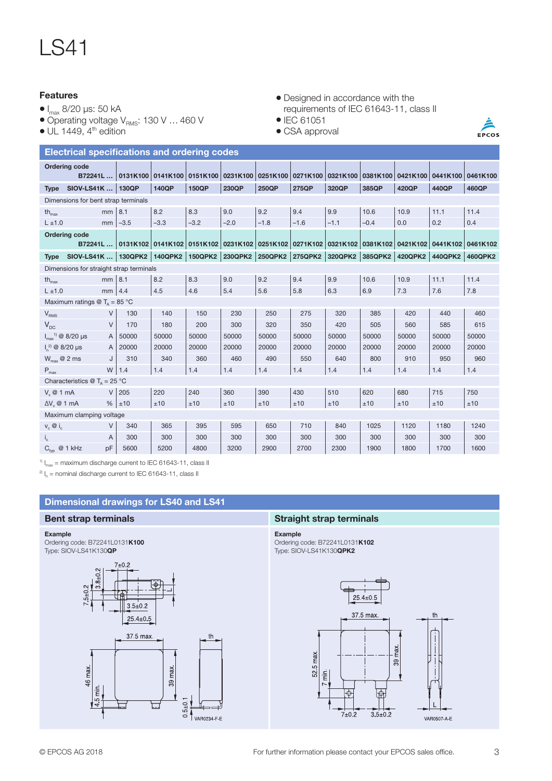## LS41

### Features

- $\bullet$  I<sub>max</sub> 8/20 µs: 50 kA
- $\bullet$  Operating voltage V $_{\rm RMS}$ : 130 V ... 460 V
- $\bullet$  UL 1449, 4<sup>th</sup> edition
- Designed in accordance with the requirements of IEC 61643-11, class II
- $\bullet$  IEC 61051
- CSA approval



| <b>Electrical specifications and ordering codes</b>  |                                                        |         |              |              |                         |          |        |                                                       |          |          |                   |          |
|------------------------------------------------------|--------------------------------------------------------|---------|--------------|--------------|-------------------------|----------|--------|-------------------------------------------------------|----------|----------|-------------------|----------|
|                                                      | <b>Ordering code</b><br>B72241L    0131K100   0141K100 |         |              |              | 0151K100 0231K100       | 0251K100 |        | 0271K100 0321K100                                     | 0381K100 | 0421K100 | 0441K100          | 0461K100 |
| <b>Type</b>                                          | SIOV-LS41K    130QP                                    |         | <b>140QP</b> | <b>150QP</b> | 230QP                   | 250QP    | 275QP  | 320QP                                                 | 385QP    | 420QP    | 440QP             | 460QP    |
| Dimensions for bent strap terminals                  |                                                        |         |              |              |                         |          |        |                                                       |          |          |                   |          |
| $th_{\text{max}}$                                    | mm                                                     | 8.1     | 8.2          | 8.3          | 9.0                     | 9.2      | 9.4    | 9.9                                                   | 10.6     | 10.9     | 11.1              | 11.4     |
| $L \pm 1.0$                                          | mm                                                     | $-3.5$  | $-3.3$       | $-3.2$       | $-2.0$                  | $-1.8$   | $-1.6$ | $-1.1$                                                | $-0.4$   | 0.0      | 0.2               | 0.4      |
|                                                      | <b>Ordering code</b><br>B72241L    0131K102   0141K102 |         |              |              |                         |          |        | 0151K102 0231K102 0251K102 0271K102 0321K102 0381K102 |          |          | 0421K102 0441K102 | 0461K102 |
| <b>Type</b>                                          | SIOV-LS41K    130QPK2   140QPK2                        |         |              |              | 150QPK2 230QPK2 250QPK2 |          |        | 275QPK2 320QPK2 385QPK2                               |          |          | 420QPK2 440QPK2   | 460QPK2  |
| Dimensions for straight strap terminals              |                                                        |         |              |              |                         |          |        |                                                       |          |          |                   |          |
| $th_{\text{max}}$                                    | $mm$ 8.1                                               |         | 8.2          | 8.3          | 9.0                     | 9.2      | 9.4    | 9.9                                                   | 10.6     | 10.9     | 11.1              | 11.4     |
| $L \pm 1.0$                                          | mm                                                     | 4.4     | 4.5          | 4.6          | 5.4                     | 5.6      | 5.8    | 6.3                                                   | 6.9      | 7.3      | 7.6               | 7.8      |
|                                                      | Maximum ratings $\textcircled{1}_{\text{A}}$ = 85 °C   |         |              |              |                         |          |        |                                                       |          |          |                   |          |
| V <sub>RMS</sub>                                     | V                                                      | 130     | 140          | 150          | 230                     | 250      | 275    | 320                                                   | 385      | 420      | 440               | 460      |
| $V_{DC}$                                             | $\vee$                                                 | 170     | 180          | 200          | 300                     | 320      | 350    | 420                                                   | 505      | 560      | 585               | 615      |
|                                                      | $I_{max}^{1}$ @ 8/20 µs<br>$\mathsf{A}$                | 50000   | 50000        | 50000        | 50000                   | 50000    | 50000  | 50000                                                 | 50000    | 50000    | 50000             | 50000    |
| $I_n^{2)}$ @ 8/20 µs                                 | $\mathsf{A}$                                           | 20000   | 20000        | 20000        | 20000                   | 20000    | 20000  | 20000                                                 | 20000    | 20000    | 20000             | 20000    |
| $W_{\text{max}}$ @ 2 ms                              | J                                                      | 310     | 340          | 360          | 460                     | 490      | 550    | 640                                                   | 800      | 910      | 950               | 960      |
| $P_{max}$                                            |                                                        | $W$ 1.4 | 1.4          | 1.4          | 1.4                     | 1.4      | 1.4    | 1.4                                                   | 1.4      | 1.4      | 1.4               | 1.4      |
| Characteristics $\textcircled{r}_n = 25 \textcirc C$ |                                                        |         |              |              |                         |          |        |                                                       |          |          |                   |          |
| $V_{u}$ @ 1 mA                                       |                                                        | $V$ 205 | 220          | 240          | 360                     | 390      | 430    | 510                                                   | 620      | 680      | 715               | 750      |
| $\Delta V$ <sub>u</sub> @ 1 mA                       |                                                        | %  ±10  | ±10          | ±10          | ±10                     | ±10      | ±10    | ±10                                                   | ±10      | ±10      | ±10               | ±10      |
| Maximum clamping voltage                             |                                                        |         |              |              |                         |          |        |                                                       |          |          |                   |          |
| $v_c \otimes i_c$                                    | V                                                      | 340     | 365          | 395          | 595                     | 650      | 710    | 840                                                   | 1025     | 1120     | 1180              | 1240     |
| $I_c$                                                | A                                                      | 300     | 300          | 300          | 300                     | 300      | 300    | 300                                                   | 300      | 300      | 300               | 300      |
| $C_{\text{tvn}}$ @ 1 kHz                             | pF                                                     | 5600    | 5200         | 4800         | 3200                    | 2900     | 2700   | 2300                                                  | 1900     | 1800     | 1700              | 1600     |

<sup>1)</sup>  $I_{max}$  = maximum discharge current to IEC 61643-11, class II

 $^{2)}$  I<sub>n</sub> = nominal discharge current to IEC 61643-11, class II



### Example

Ordering code: B72241L0131K100 Type: SIOV-LS41K130QP



### Bent strap terminals Straight strap terminals

Example Ordering code: B72241L0131K102 Type: SIOV-LS41K130QPK2